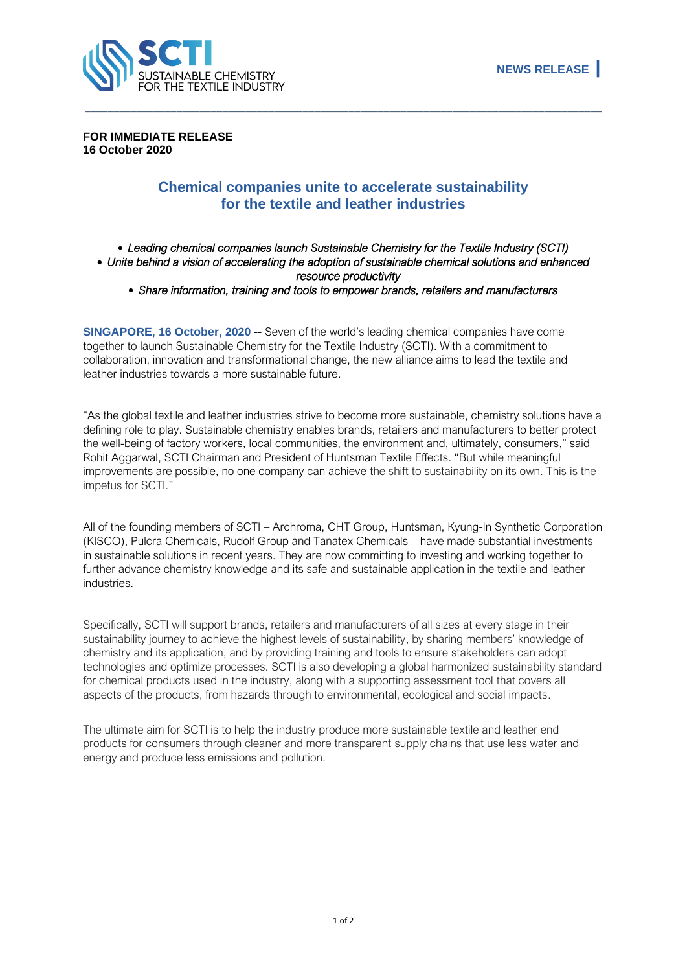

**FOR IMMEDIATE RELEASE 16 October 2020**

## **Chemical companies unite to accelerate sustainability for the textile and leather industries**

\_\_\_\_\_\_\_\_\_\_\_\_\_\_\_\_\_\_\_\_\_\_\_\_\_\_\_\_\_\_\_\_\_\_\_\_\_\_\_\_\_\_\_\_\_\_\_\_\_\_\_\_\_\_\_\_\_\_\_\_\_\_\_\_\_\_\_\_\_\_\_\_\_\_\_\_\_\_\_\_\_\_\_\_\_\_\_\_\_\_

## • *Leading chemical companies launch Sustainable Chemistry for the Textile Industry (SCTI)*  • *Unite behind a vision of accelerating the adoption of sustainable chemical solutions and enhanced resource productivity*  • *Share information, training and tools to empower brands, retailers and manufacturers*

**SINGAPORE, 16 October, 2020** -- Seven of the world's leading chemical companies have come together to launch Sustainable Chemistry for the Textile Industry (SCTI). With a commitment to collaboration, innovation and transformational change, the new alliance aims to lead the textile and leather industries towards a more sustainable future.

"As the global textile and leather industries strive to become more sustainable, chemistry solutions have a defining role to play. Sustainable chemistry enables brands, retailers and manufacturers to better protect the well-being of factory workers, local communities, the environment and, ultimately, consumers," said Rohit Aggarwal, SCTI Chairman and President of Huntsman Textile Effects. "But while meaningful improvements are possible, no one company can achieve the shift to sustainability on its own. This is the impetus for SCTI."

All of the founding members of SCTI – Archroma, CHT Group, Huntsman, Kyung-In Synthetic Corporation (KISCO), Pulcra Chemicals, Rudolf Group and Tanatex Chemicals – have made substantial investments in sustainable solutions in recent years. They are now committing to investing and working together to further advance chemistry knowledge and its safe and sustainable application in the textile and leather industries.

Specifically, SCTI will support brands, retailers and manufacturers of all sizes at every stage in their sustainability journey to achieve the highest levels of sustainability, by sharing members' knowledge of chemistry and its application, and by providing training and tools to ensure stakeholders can adopt technologies and optimize processes. SCTI is also developing a global harmonized sustainability standard for chemical products used in the industry, along with a supporting assessment tool that covers all aspects of the products, from hazards through to environmental, ecological and social impacts.

The ultimate aim for SCTI is to help the industry produce more sustainable textile and leather end products for consumers through cleaner and more transparent supply chains that use less water and energy and produce less emissions and pollution.